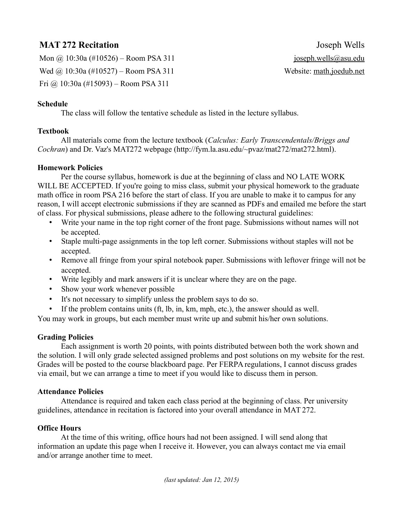# **MAT 272 Recitation** Joseph Wells

Mon  $\omega$  10:30a (#10526) – Room PSA 311 joseph.wells@asu.edu Wed @ 10:30a (#10527) – Room PSA 311 Website: math.joedub.net Fri @ 10:30a (#15093) – Room PSA 311

### **Schedule**

The class will follow the tentative schedule as listed in the lecture syllabus.

### **Textbook**

All materials come from the lecture textbook (*Calculus: Early Transcendentals/Briggs and Cochran*) and Dr. Vaz's MAT272 webpage (http://fym.la.asu.edu/~pvaz/mat272/mat272.html).

#### **Homework Policies**

Per the course syllabus, homework is due at the beginning of class and NO LATE WORK WILL BE ACCEPTED. If you're going to miss class, submit your physical homework to the graduate math office in room PSA 216 before the start of class. If you are unable to make it to campus for any reason, I will accept electronic submissions if they are scanned as PDFs and emailed me before the start of class. For physical submissions, please adhere to the following structural guidelines:

- Write your name in the top right corner of the front page. Submissions without names will not be accepted.
- Staple multi-page assignments in the top left corner. Submissions without staples will not be accepted.
- Remove all fringe from your spiral notebook paper. Submissions with leftover fringe will not be accepted.
- Write legibly and mark answers if it is unclear where they are on the page.
- Show your work whenever possible
- It's not necessary to simplify unless the problem says to do so.
- If the problem contains units (ft, lb, in, km, mph, etc.), the answer should as well.

You may work in groups, but each member must write up and submit his/her own solutions.

## **Grading Policies**

Each assignment is worth 20 points, with points distributed between both the work shown and the solution. I will only grade selected assigned problems and post solutions on my website for the rest. Grades will be posted to the course blackboard page. Per FERPA regulations, I cannot discuss grades via email, but we can arrange a time to meet if you would like to discuss them in person.

#### **Attendance Policies**

Attendance is required and taken each class period at the beginning of class. Per university guidelines, attendance in recitation is factored into your overall attendance in MAT 272.

## **Office Hours**

At the time of this writing, office hours had not been assigned. I will send along that information an update this page when I receive it. However, you can always contact me via email and/or arrange another time to meet.